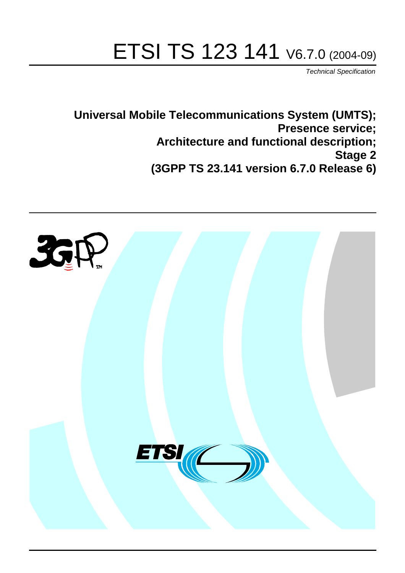# ETSI TS 123 141 V6.7.0 (2004-09)

Technical Specification

**Universal Mobile Telecommunications System (UMTS); Presence service; Architecture and functional description; Stage 2 (3GPP TS 23.141 version 6.7.0 Release 6)**

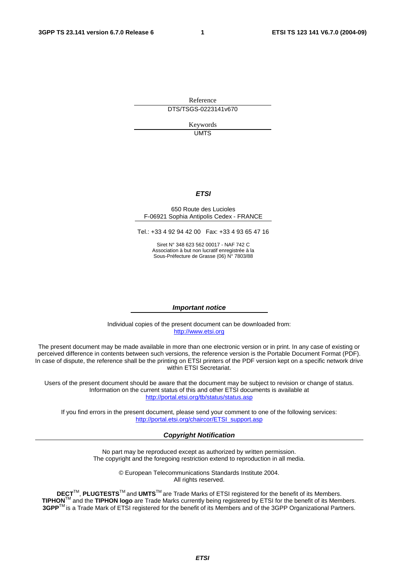Reference DTS/TSGS-0223141v670

> Keywords UMTS

#### **ETSI**

#### 650 Route des Lucioles F-06921 Sophia Antipolis Cedex - FRANCE

Tel.: +33 4 92 94 42 00 Fax: +33 4 93 65 47 16

Siret N° 348 623 562 00017 - NAF 742 C Association à but non lucratif enregistrée à la Sous-Préfecture de Grasse (06) N° 7803/88

#### **Important notice**

Individual copies of the present document can be downloaded from: [http://www.etsi.org](http://www.etsi.org/)

The present document may be made available in more than one electronic version or in print. In any case of existing or perceived difference in contents between such versions, the reference version is the Portable Document Format (PDF). In case of dispute, the reference shall be the printing on ETSI printers of the PDF version kept on a specific network drive within ETSI Secretariat.

Users of the present document should be aware that the document may be subject to revision or change of status. Information on the current status of this and other ETSI documents is available at <http://portal.etsi.org/tb/status/status.asp>

If you find errors in the present document, please send your comment to one of the following services: [http://portal.etsi.org/chaircor/ETSI\\_support.asp](http://portal.etsi.org/chaircor/ETSI_support.asp)

#### **Copyright Notification**

No part may be reproduced except as authorized by written permission. The copyright and the foregoing restriction extend to reproduction in all media.

> © European Telecommunications Standards Institute 2004. All rights reserved.

**DECT**TM, **PLUGTESTS**TM and **UMTS**TM are Trade Marks of ETSI registered for the benefit of its Members. **TIPHON**TM and the **TIPHON logo** are Trade Marks currently being registered by ETSI for the benefit of its Members. **3GPP**TM is a Trade Mark of ETSI registered for the benefit of its Members and of the 3GPP Organizational Partners.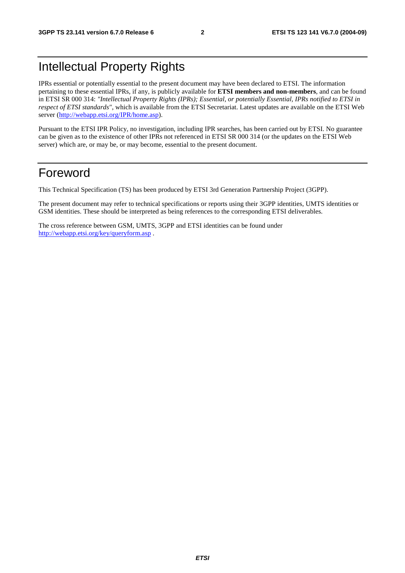## Intellectual Property Rights

IPRs essential or potentially essential to the present document may have been declared to ETSI. The information pertaining to these essential IPRs, if any, is publicly available for **ETSI members and non-members**, and can be found in ETSI SR 000 314: *"Intellectual Property Rights (IPRs); Essential, or potentially Essential, IPRs notified to ETSI in respect of ETSI standards"*, which is available from the ETSI Secretariat. Latest updates are available on the ETSI Web server ([http://webapp.etsi.org/IPR/home.asp\)](http://webapp.etsi.org/IPR/home.asp).

Pursuant to the ETSI IPR Policy, no investigation, including IPR searches, has been carried out by ETSI. No guarantee can be given as to the existence of other IPRs not referenced in ETSI SR 000 314 (or the updates on the ETSI Web server) which are, or may be, or may become, essential to the present document.

## Foreword

This Technical Specification (TS) has been produced by ETSI 3rd Generation Partnership Project (3GPP).

The present document may refer to technical specifications or reports using their 3GPP identities, UMTS identities or GSM identities. These should be interpreted as being references to the corresponding ETSI deliverables.

The cross reference between GSM, UMTS, 3GPP and ETSI identities can be found under <http://webapp.etsi.org/key/queryform.asp>.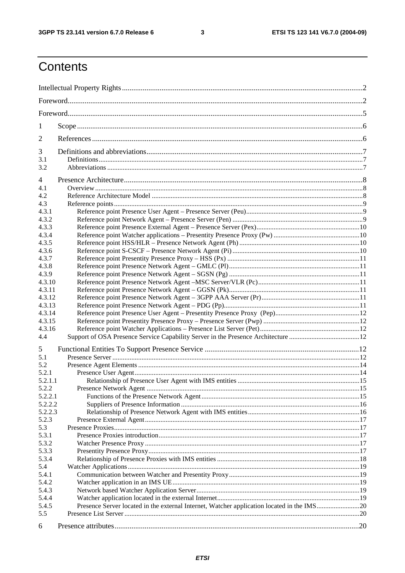$\mathbf{3}$ 

## Contents

| 1              |                                                                                            |  |  |  |  |
|----------------|--------------------------------------------------------------------------------------------|--|--|--|--|
| 2              |                                                                                            |  |  |  |  |
| 3              |                                                                                            |  |  |  |  |
| 3.1            |                                                                                            |  |  |  |  |
| 3.2            |                                                                                            |  |  |  |  |
|                |                                                                                            |  |  |  |  |
| $\overline{4}$ |                                                                                            |  |  |  |  |
| 4.1            |                                                                                            |  |  |  |  |
| 4.2<br>4.3     |                                                                                            |  |  |  |  |
|                |                                                                                            |  |  |  |  |
| 4.3.1          |                                                                                            |  |  |  |  |
| 4.3.2<br>4.3.3 |                                                                                            |  |  |  |  |
|                |                                                                                            |  |  |  |  |
| 4.3.4<br>4.3.5 |                                                                                            |  |  |  |  |
| 4.3.6          |                                                                                            |  |  |  |  |
| 4.3.7          |                                                                                            |  |  |  |  |
| 4.3.8          |                                                                                            |  |  |  |  |
| 4.3.9          |                                                                                            |  |  |  |  |
| 4.3.10         |                                                                                            |  |  |  |  |
| 4.3.11         |                                                                                            |  |  |  |  |
| 4.3.12         |                                                                                            |  |  |  |  |
| 4.3.13         |                                                                                            |  |  |  |  |
| 4.3.14         |                                                                                            |  |  |  |  |
| 4.3.15         |                                                                                            |  |  |  |  |
| 4.3.16         |                                                                                            |  |  |  |  |
| 4.4            |                                                                                            |  |  |  |  |
|                |                                                                                            |  |  |  |  |
| 5              |                                                                                            |  |  |  |  |
| 5.1            |                                                                                            |  |  |  |  |
| 5.2            |                                                                                            |  |  |  |  |
| 5.2.1          |                                                                                            |  |  |  |  |
| 5.2.1.1        |                                                                                            |  |  |  |  |
| 5.2.2          |                                                                                            |  |  |  |  |
| 5.2.2.1        |                                                                                            |  |  |  |  |
| 5.2.2.2        |                                                                                            |  |  |  |  |
| 5.2.2.3        |                                                                                            |  |  |  |  |
| 5.2.3          |                                                                                            |  |  |  |  |
| 5.3            |                                                                                            |  |  |  |  |
| 5.3.1          |                                                                                            |  |  |  |  |
| 5.3.2          |                                                                                            |  |  |  |  |
| 5.3.3          |                                                                                            |  |  |  |  |
| 5.3.4          |                                                                                            |  |  |  |  |
| 5.4            |                                                                                            |  |  |  |  |
| 5.4.1          |                                                                                            |  |  |  |  |
| 5.4.2          |                                                                                            |  |  |  |  |
| 5.4.3          |                                                                                            |  |  |  |  |
| 5.4.4          |                                                                                            |  |  |  |  |
| 5.4.5          | Presence Server located in the external Internet, Watcher application located in the IMS20 |  |  |  |  |
| 5.5            |                                                                                            |  |  |  |  |
| 6              |                                                                                            |  |  |  |  |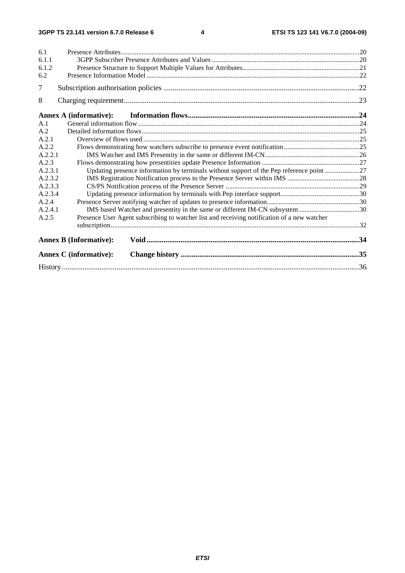| 6.1     |                                                                                             |     |  |  |  |  |
|---------|---------------------------------------------------------------------------------------------|-----|--|--|--|--|
| 6.1.1   |                                                                                             |     |  |  |  |  |
| 6.1.2   |                                                                                             |     |  |  |  |  |
| 6.2     |                                                                                             |     |  |  |  |  |
| 7       |                                                                                             | .22 |  |  |  |  |
| 8       |                                                                                             |     |  |  |  |  |
|         | <b>Annex A (informative):</b>                                                               |     |  |  |  |  |
| A.1     |                                                                                             |     |  |  |  |  |
| A.2     |                                                                                             |     |  |  |  |  |
| A.2.1   |                                                                                             |     |  |  |  |  |
| A.2.2   |                                                                                             |     |  |  |  |  |
| A.2.2.1 |                                                                                             |     |  |  |  |  |
| A.2.3   |                                                                                             |     |  |  |  |  |
| A.2.3.1 | Updating presence information by terminals without support of the Pep reference point 27    |     |  |  |  |  |
| A.2.3.2 |                                                                                             |     |  |  |  |  |
| A.2.3.3 |                                                                                             |     |  |  |  |  |
| A.2.3.4 |                                                                                             |     |  |  |  |  |
| A.2.4   |                                                                                             |     |  |  |  |  |
| A.2.4.1 | IMS based Watcher and presentity in the same or different IM-CN subsystem 30                |     |  |  |  |  |
| A.2.5   | Presence User Agent subscribing to watcher list and receiving notification of a new watcher |     |  |  |  |  |
|         |                                                                                             |     |  |  |  |  |
|         | <b>Annex B (Informative):</b>                                                               |     |  |  |  |  |
|         | <b>Annex C</b> (informative):                                                               |     |  |  |  |  |
|         |                                                                                             |     |  |  |  |  |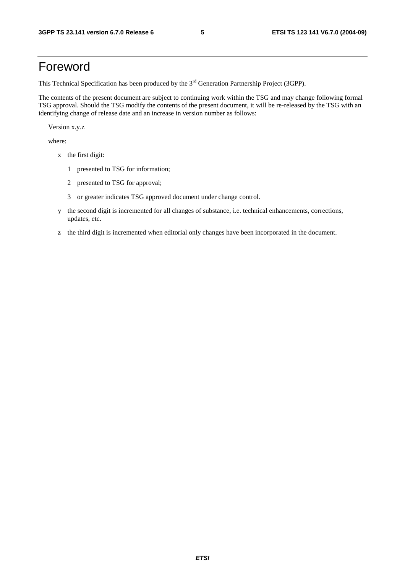## Foreword

This Technical Specification has been produced by the 3<sup>rd</sup> Generation Partnership Project (3GPP).

The contents of the present document are subject to continuing work within the TSG and may change following formal TSG approval. Should the TSG modify the contents of the present document, it will be re-released by the TSG with an identifying change of release date and an increase in version number as follows:

Version x.y.z

where:

- x the first digit:
	- 1 presented to TSG for information;
	- 2 presented to TSG for approval;
	- 3 or greater indicates TSG approved document under change control.
- y the second digit is incremented for all changes of substance, i.e. technical enhancements, corrections, updates, etc.
- z the third digit is incremented when editorial only changes have been incorporated in the document.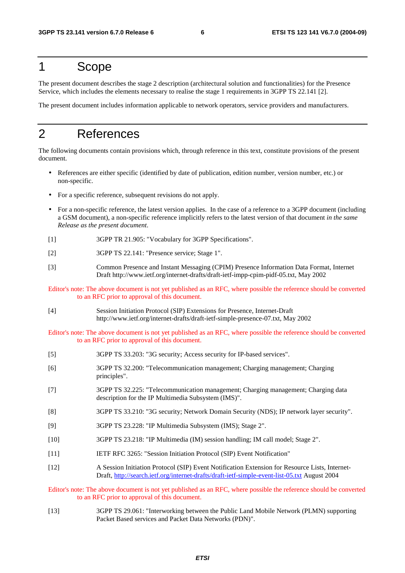## 1 Scope

The present document describes the stage 2 description (architectural solution and functionalities) for the Presence Service, which includes the elements necessary to realise the stage 1 requirements in 3GPP TS 22.141 [2].

The present document includes information applicable to network operators, service providers and manufacturers.

## 2 References

The following documents contain provisions which, through reference in this text, constitute provisions of the present document.

- References are either specific (identified by date of publication, edition number, version number, etc.) or non-specific.
- For a specific reference, subsequent revisions do not apply.
- For a non-specific reference, the latest version applies. In the case of a reference to a 3GPP document (including a GSM document), a non-specific reference implicitly refers to the latest version of that document *in the same Release as the present document*.
- [1] 3GPP TR 21.905: "Vocabulary for 3GPP Specifications".
- [2] 3GPP TS 22.141: "Presence service; Stage 1".
- [3] Common Presence and Instant Messaging (CPIM) Presence Information Data Format, Internet Draft http://www.ietf.org/internet-drafts/draft-ietf-impp-cpim-pidf-05.txt, May 2002

Editor's note: The above document is not yet published as an RFC, where possible the reference should be converted to an RFC prior to approval of this document.

[4] Session Initiation Protocol (SIP) Extensions for Presence, Internet-Draft http://www.ietf.org/internet-drafts/draft-ietf-simple-presence-07.txt, May 2002

Editor's note: The above document is not yet published as an RFC, where possible the reference should be converted to an RFC prior to approval of this document.

- [5] 3GPP TS 33.203: "3G security; Access security for IP-based services".
- [6] 3GPP TS 32.200: "Telecommunication management; Charging management; Charging principles".
- [7] 3GPP TS 32.225: "Telecommunication management; Charging management; Charging data description for the IP Multimedia Subsystem (IMS)".
- [8] 3GPP TS 33.210: "3G security; Network Domain Security (NDS); IP network layer security".
- [9] 3GPP TS 23.228: "IP Multimedia Subsystem (IMS); Stage 2".
- [10] 3GPP TS 23.218: "IP Multimedia (IM) session handling; IM call model; Stage 2".
- [11] IETF RFC 3265: "Session Initiation Protocol (SIP) Event Notification"
- [12] A Session Initiation Protocol (SIP) Event Notification Extension for Resource Lists, Internet-Draft,<http://search.ietf.org/internet-drafts/draft-ietf-simple-event-list-05.txt> August 2004

Editor's note: The above document is not yet published as an RFC, where possible the reference should be converted to an RFC prior to approval of this document.

[13] 3GPP TS 29.061: "Interworking between the Public Land Mobile Network (PLMN) supporting Packet Based services and Packet Data Networks (PDN)".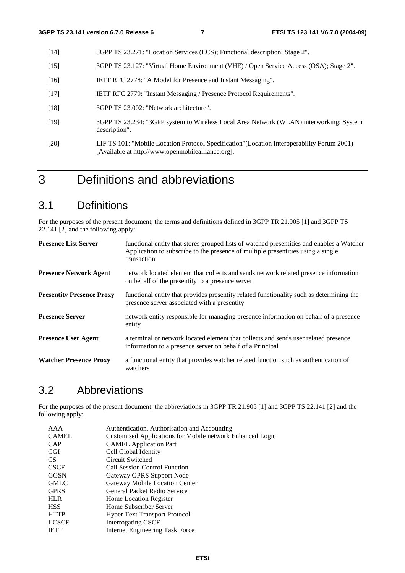- [14] 3GPP TS 23.271: "Location Services (LCS); Functional description; Stage 2".
- [15] 3GPP TS 23.127: "Virtual Home Environment (VHE) / Open Service Access (OSA); Stage 2".
- [16] IETF RFC 2778: "A Model for Presence and Instant Messaging".
- [17] IETF RFC 2779: "Instant Messaging / Presence Protocol Requirements".
- [18] 3GPP TS 23.002: "Network architecture".
- [19] 3GPP TS 23.234: "3GPP system to Wireless Local Area Network (WLAN) interworking; System description".
- [20] LIF TS 101: "Mobile Location Protocol Specification"(Location Interoperability Forum 2001) [Available at http://www.openmobilealliance.org].

## 3 Definitions and abbreviations

## 3.1 Definitions

For the purposes of the present document, the terms and definitions defined in 3GPP TR 21.905 [1] and 3GPP TS 22.141 [2] and the following apply:

| <b>Presence List Server</b>      | functional entity that stores grouped lists of watched presentities and enables a Watcher<br>Application to subscribe to the presence of multiple presentities using a single<br>transaction |
|----------------------------------|----------------------------------------------------------------------------------------------------------------------------------------------------------------------------------------------|
| <b>Presence Network Agent</b>    | network located element that collects and sends network related presence information<br>on behalf of the presentity to a presence server                                                     |
| <b>Presentity Presence Proxy</b> | functional entity that provides presentity related functionality such as determining the<br>presence server associated with a presentity                                                     |
| <b>Presence Server</b>           | network entity responsible for managing presence information on behalf of a presence<br>entity                                                                                               |
| <b>Presence User Agent</b>       | a terminal or network located element that collects and sends user related presence<br>information to a presence server on behalf of a Principal                                             |
| <b>Watcher Presence Proxy</b>    | a functional entity that provides watcher related function such as authentication of<br>watchers                                                                                             |

## 3.2 Abbreviations

For the purposes of the present document, the abbreviations in 3GPP TR 21.905 [1] and 3GPP TS 22.141 [2] and the following apply:

| AAA    | Authentication, Authorisation and Accounting              |
|--------|-----------------------------------------------------------|
| CAMEL  | Customised Applications for Mobile network Enhanced Logic |
| CAP    | <b>CAMEL Application Part</b>                             |
| CGI    | Cell Global Identity                                      |
| CS.    | Circuit Switched                                          |
| CSCF   | <b>Call Session Control Function</b>                      |
| GGSN   | Gateway GPRS Support Node                                 |
| GMLC   | Gateway Mobile Location Center                            |
| GPRS   | General Packet Radio Service                              |
| HLR.   | <b>Home Location Register</b>                             |
| HSS    | Home Subscriber Server                                    |
| HTTP   | <b>Hyper Text Transport Protocol</b>                      |
| I-CSCF | Interrogating CSCF                                        |
| IETF   | <b>Internet Engineering Task Force</b>                    |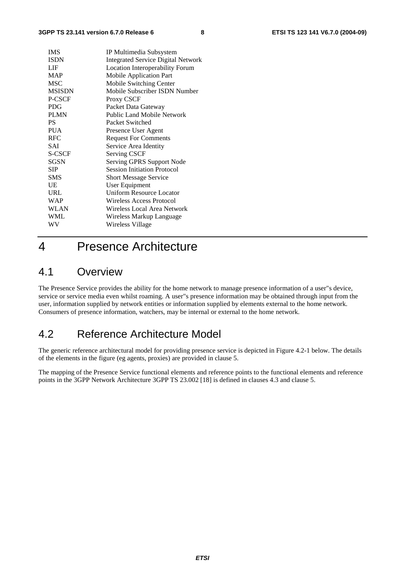| <b>IMS</b>    | IP Multimedia Subsystem                   |
|---------------|-------------------------------------------|
| <b>ISDN</b>   | <b>Integrated Service Digital Network</b> |
| LIF           | <b>Location Interoperability Forum</b>    |
| <b>MAP</b>    | <b>Mobile Application Part</b>            |
| <b>MSC</b>    | Mobile Switching Center                   |
| <b>MSISDN</b> | Mobile Subscriber ISDN Number             |
| P-CSCF        | Proxy CSCF                                |
| <b>PDG</b>    | Packet Data Gateway                       |
| <b>PLMN</b>   | Public Land Mobile Network                |
| PS            | Packet Switched                           |
| <b>PUA</b>    | Presence User Agent                       |
| <b>RFC</b>    | <b>Request For Comments</b>               |
| SAI           | Service Area Identity                     |
| <b>S-CSCF</b> | <b>Serving CSCF</b>                       |
| <b>SGSN</b>   | Serving GPRS Support Node                 |
| <b>SIP</b>    | <b>Session Initiation Protocol</b>        |
| <b>SMS</b>    | <b>Short Message Service</b>              |
| UE            | User Equipment                            |
| URL           | Uniform Resource Locator                  |
| <b>WAP</b>    | Wireless Access Protocol                  |
| <b>WLAN</b>   | Wireless Local Area Network               |
| WML           | Wireless Markup Language                  |
| WV            | Wireless Village                          |
|               |                                           |

## 4 Presence Architecture

## 4.1 Overview

The Presence Service provides the ability for the home network to manage presence information of a user"s device, service or service media even whilst roaming. A user"s presence information may be obtained through input from the user, information supplied by network entities or information supplied by elements external to the home network. Consumers of presence information, watchers, may be internal or external to the home network.

## 4.2 Reference Architecture Model

The generic reference architectural model for providing presence service is depicted in Figure 4.2-1 below. The details of the elements in the figure (eg agents, proxies) are provided in clause 5.

The mapping of the Presence Service functional elements and reference points to the functional elements and reference points in the 3GPP Network Architecture 3GPP TS 23.002 [18] is defined in clauses 4.3 and clause 5.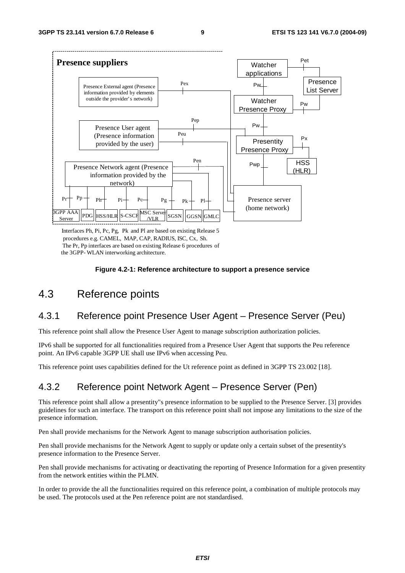

Interfaces Ph, Pi, Pc, Pg, Pk and Pl are based on existing Release 5 procedures e.g. CAMEL, MAP, CAP, RADIUS, ISC, Cx, Sh. The Pr, Pp interfaces are based on existing Release 6 procedures of the 3GPP- WLAN interworking architecture.

#### **Figure 4.2-1: Reference architecture to support a presence service**

## 4.3 Reference points

## 4.3.1 Reference point Presence User Agent – Presence Server (Peu)

This reference point shall allow the Presence User Agent to manage subscription authorization policies.

IPv6 shall be supported for all functionalities required from a Presence User Agent that supports the Peu reference point. An IPv6 capable 3GPP UE shall use IPv6 when accessing Peu.

This reference point uses capabilities defined for the Ut reference point as defined in 3GPP TS 23.002 [18].

## 4.3.2 Reference point Network Agent – Presence Server (Pen)

This reference point shall allow a presentity"s presence information to be supplied to the Presence Server. [3] provides guidelines for such an interface. The transport on this reference point shall not impose any limitations to the size of the presence information.

Pen shall provide mechanisms for the Network Agent to manage subscription authorisation policies.

Pen shall provide mechanisms for the Network Agent to supply or update only a certain subset of the presentity's presence information to the Presence Server.

Pen shall provide mechanisms for activating or deactivating the reporting of Presence Information for a given presentity from the network entities within the PLMN.

In order to provide the all the functionalities required on this reference point, a combination of multiple protocols may be used. The protocols used at the Pen reference point are not standardised.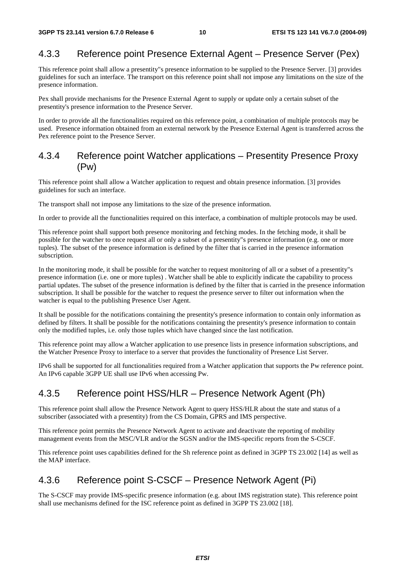## 4.3.3 Reference point Presence External Agent – Presence Server (Pex)

This reference point shall allow a presentity"s presence information to be supplied to the Presence Server. [3] provides guidelines for such an interface. The transport on this reference point shall not impose any limitations on the size of the presence information.

Pex shall provide mechanisms for the Presence External Agent to supply or update only a certain subset of the presentity's presence information to the Presence Server.

In order to provide all the functionalities required on this reference point, a combination of multiple protocols may be used. Presence information obtained from an external network by the Presence External Agent is transferred across the Pex reference point to the Presence Server.

### 4.3.4 Reference point Watcher applications – Presentity Presence Proxy (Pw)

This reference point shall allow a Watcher application to request and obtain presence information. [3] provides guidelines for such an interface.

The transport shall not impose any limitations to the size of the presence information.

In order to provide all the functionalities required on this interface, a combination of multiple protocols may be used.

This reference point shall support both presence monitoring and fetching modes. In the fetching mode, it shall be possible for the watcher to once request all or only a subset of a presentity"s presence information (e.g. one or more tuples). The subset of the presence information is defined by the filter that is carried in the presence information subscription.

In the monitoring mode, it shall be possible for the watcher to request monitoring of all or a subset of a presentity"s presence information (i.e. one or more tuples) . Watcher shall be able to explicitly indicate the capability to process partial updates. The subset of the presence information is defined by the filter that is carried in the presence information subscription. It shall be possible for the watcher to request the presence server to filter out information when the watcher is equal to the publishing Presence User Agent.

It shall be possible for the notifications containing the presentity's presence information to contain only information as defined by filters. It shall be possible for the notifications containing the presentity's presence information to contain only the modified tuples, i.e. only those tuples which have changed since the last notification.

This reference point may allow a Watcher application to use presence lists in presence information subscriptions, and the Watcher Presence Proxy to interface to a server that provides the functionality of Presence List Server.

IPv6 shall be supported for all functionalities required from a Watcher application that supports the Pw reference point. An IPv6 capable 3GPP UE shall use IPv6 when accessing Pw.

## 4.3.5 Reference point HSS/HLR – Presence Network Agent (Ph)

This reference point shall allow the Presence Network Agent to query HSS/HLR about the state and status of a subscriber (associated with a presentity) from the CS Domain, GPRS and IMS perspective.

This reference point permits the Presence Network Agent to activate and deactivate the reporting of mobility management events from the MSC/VLR and/or the SGSN and/or the IMS-specific reports from the S-CSCF.

This reference point uses capabilities defined for the Sh reference point as defined in 3GPP TS 23.002 [14] as well as the MAP interface.

## 4.3.6 Reference point S-CSCF – Presence Network Agent (Pi)

The S-CSCF may provide IMS-specific presence information (e.g. about IMS registration state). This reference point shall use mechanisms defined for the ISC reference point as defined in 3GPP TS 23.002 [18].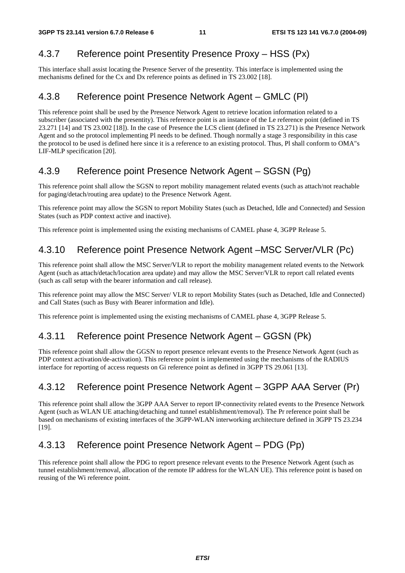## 4.3.7 Reference point Presentity Presence Proxy – HSS (Px)

This interface shall assist locating the Presence Server of the presentity. This interface is implemented using the mechanisms defined for the Cx and Dx reference points as defined in TS 23.002 [18].

## 4.3.8 Reference point Presence Network Agent – GMLC (Pl)

This reference point shall be used by the Presence Network Agent to retrieve location information related to a subscriber (associated with the presentity). This reference point is an instance of the Le reference point (defined in TS 23.271 [14] and TS 23.002 [18]). In the case of Presence the LCS client (defined in TS 23.271) is the Presence Network Agent and so the protocol implementing Pl needs to be defined. Though normally a stage 3 responsibility in this case the protocol to be used is defined here since it is a reference to an existing protocol. Thus, Pl shall conform to OMA"s LIF-MLP specification [20].

## 4.3.9 Reference point Presence Network Agent – SGSN (Pg)

This reference point shall allow the SGSN to report mobility management related events (such as attach/not reachable for paging/detach/routing area update) to the Presence Network Agent.

This reference point may allow the SGSN to report Mobility States (such as Detached, Idle and Connected) and Session States (such as PDP context active and inactive).

This reference point is implemented using the existing mechanisms of CAMEL phase 4, 3GPP Release 5.

## 4.3.10 Reference point Presence Network Agent –MSC Server/VLR (Pc)

This reference point shall allow the MSC Server/VLR to report the mobility management related events to the Network Agent (such as attach/detach/location area update) and may allow the MSC Server/VLR to report call related events (such as call setup with the bearer information and call release).

This reference point may allow the MSC Server/ VLR to report Mobility States (such as Detached, Idle and Connected) and Call States (such as Busy with Bearer information and Idle).

This reference point is implemented using the existing mechanisms of CAMEL phase 4, 3GPP Release 5.

## 4.3.11 Reference point Presence Network Agent – GGSN (Pk)

This reference point shall allow the GGSN to report presence relevant events to the Presence Network Agent (such as PDP context activation/de-activation). This reference point is implemented using the mechanisms of the RADIUS interface for reporting of access requests on Gi reference point as defined in 3GPP TS 29.061 [13].

## 4.3.12 Reference point Presence Network Agent – 3GPP AAA Server (Pr)

This reference point shall allow the 3GPP AAA Server to report IP-connectivity related events to the Presence Network Agent (such as WLAN UE attaching/detaching and tunnel establishment/removal). The Pr reference point shall be based on mechanisms of existing interfaces of the 3GPP-WLAN interworking architecture defined in 3GPP TS 23.234 [19].

## 4.3.13 Reference point Presence Network Agent – PDG (Pp)

This reference point shall allow the PDG to report presence relevant events to the Presence Network Agent (such as tunnel establishment/removal, allocation of the remote IP address for the WLAN UE). This reference point is based on reusing of the Wi reference point.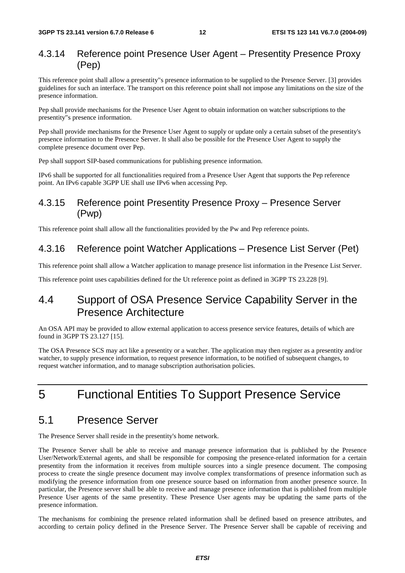#### 4.3.14 Reference point Presence User Agent – Presentity Presence Proxy (Pep)

This reference point shall allow a presentity"s presence information to be supplied to the Presence Server. [3] provides guidelines for such an interface. The transport on this reference point shall not impose any limitations on the size of the presence information.

Pep shall provide mechanisms for the Presence User Agent to obtain information on watcher subscriptions to the presentity"s presence information.

Pep shall provide mechanisms for the Presence User Agent to supply or update only a certain subset of the presentity's presence information to the Presence Server. It shall also be possible for the Presence User Agent to supply the complete presence document over Pep.

Pep shall support SIP-based communications for publishing presence information.

IPv6 shall be supported for all functionalities required from a Presence User Agent that supports the Pep reference point. An IPv6 capable 3GPP UE shall use IPv6 when accessing Pep.

## 4.3.15 Reference point Presentity Presence Proxy – Presence Server (Pwp)

This reference point shall allow all the functionalities provided by the Pw and Pep reference points.

#### 4.3.16 Reference point Watcher Applications – Presence List Server (Pet)

This reference point shall allow a Watcher application to manage presence list information in the Presence List Server.

This reference point uses capabilities defined for the Ut reference point as defined in 3GPP TS 23.228 [9].

## 4.4 Support of OSA Presence Service Capability Server in the Presence Architecture

An OSA API may be provided to allow external application to access presence service features, details of which are found in 3GPP TS 23.127 [15].

The OSA Presence SCS may act like a presentity or a watcher. The application may then register as a presentity and/or watcher, to supply presence information, to request presence information, to be notified of subsequent changes, to request watcher information, and to manage subscription authorisation policies.

## 5 Functional Entities To Support Presence Service

## 5.1 Presence Server

The Presence Server shall reside in the presentity's home network.

The Presence Server shall be able to receive and manage presence information that is published by the Presence User/Network/External agents, and shall be responsible for composing the presence-related information for a certain presentity from the information it receives from multiple sources into a single presence document. The composing process to create the single presence document may involve complex transformations of presence information such as modifying the presence information from one presence source based on information from another presence source. In particular, the Presence server shall be able to receive and manage presence information that is published from multiple Presence User agents of the same presentity. These Presence User agents may be updating the same parts of the presence information.

The mechanisms for combining the presence related information shall be defined based on presence attributes, and according to certain policy defined in the Presence Server. The Presence Server shall be capable of receiving and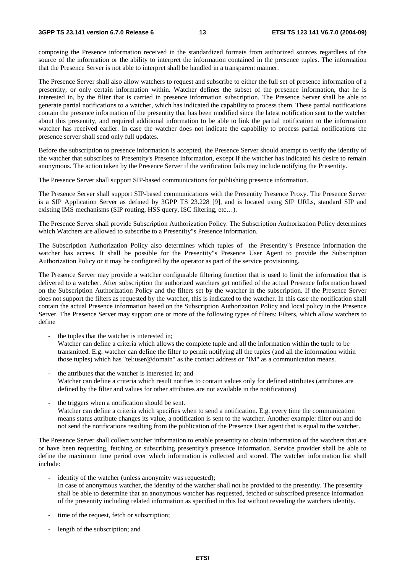composing the Presence information received in the standardized formats from authorized sources regardless of the source of the information or the ability to interpret the information contained in the presence tuples. The information that the Presence Server is not able to interpret shall be handled in a transparent manner.

The Presence Server shall also allow watchers to request and subscribe to either the full set of presence information of a presentity, or only certain information within. Watcher defines the subset of the presence information, that he is interested in, by the filter that is carried in presence information subscription. The Presence Server shall be able to generate partial notifications to a watcher, which has indicated the capability to process them. These partial notifications contain the presence information of the presentity that has been modified since the latest notification sent to the watcher about this presentity, and required additional information to be able to link the partial notification to the information watcher has received earlier. In case the watcher does not indicate the capability to process partial notifications the presence server shall send only full updates.

Before the subscription to presence information is accepted, the Presence Server should attempt to verify the identity of the watcher that subscribes to Presentity's Presence information, except if the watcher has indicated his desire to remain anonymous. The action taken by the Presence Server if the verification fails may include notifying the Presentity.

The Presence Server shall support SIP-based communications for publishing presence information.

The Presence Server shall support SIP-based communications with the Presentity Presence Proxy. The Presence Server is a SIP Application Server as defined by 3GPP TS 23.228 [9], and is located using SIP URLs, standard SIP and existing IMS mechanisms (SIP routing, HSS query, ISC filtering, etc…).

The Presence Server shall provide Subscription Authorization Policy. The Subscription Authorization Policy determines which Watchers are allowed to subscribe to a Presentity"s Presence information.

The Subscription Authorization Policy also determines which tuples of the Presentity"s Presence information the watcher has access. It shall be possible for the Presentity"s Presence User Agent to provide the Subscription Authorization Policy or it may be configured by the operator as part of the service provisioning.

The Presence Server may provide a watcher configurable filtering function that is used to limit the information that is delivered to a watcher. After subscription the authorized watchers get notified of the actual Presence Information based on the Subscription Authorization Policy and the filters set by the watcher in the subscription. If the Presence Server does not support the filters as requested by the watcher, this is indicated to the watcher. In this case the notification shall contain the actual Presence information based on the Subscription Authorization Policy and local policy in the Presence Server. The Presence Server may support one or more of the following types of filters: Filters, which allow watchers to define

- the tuples that the watcher is interested in; Watcher can define a criteria which allows the complete tuple and all the information within the tuple to be transmitted. E.g. watcher can define the filter to permit notifying all the tuples (and all the information within those tuples) which has "tel:user@domain" as the contact address or "IM" as a communication means.
- the attributes that the watcher is interested in; and Watcher can define a criteria which result notifies to contain values only for defined attributes (attributes are defined by the filter and values for other attributes are not available in the notifications)
- the triggers when a notification should be sent. Watcher can define a criteria which specifies when to send a notification. E.g. every time the communication means status attribute changes its value, a notification is sent to the watcher. Another example: filter out and do not send the notifications resulting from the publication of the Presence User agent that is equal to the watcher.

The Presence Server shall collect watcher information to enable presentity to obtain information of the watchers that are or have been requesting, fetching or subscribing presentity's presence information. Service provider shall be able to define the maximum time period over which information is collected and stored. The watcher information list shall include:

- identity of the watcher (unless anonymity was requested); In case of anonymous watcher, the identity of the watcher shall not be provided to the presentity. The presentity shall be able to determine that an anonymous watcher has requested, fetched or subscribed presence information of the presentity including related information as specified in this list without revealing the watchers identity.
- time of the request, fetch or subscription;
- length of the subscription; and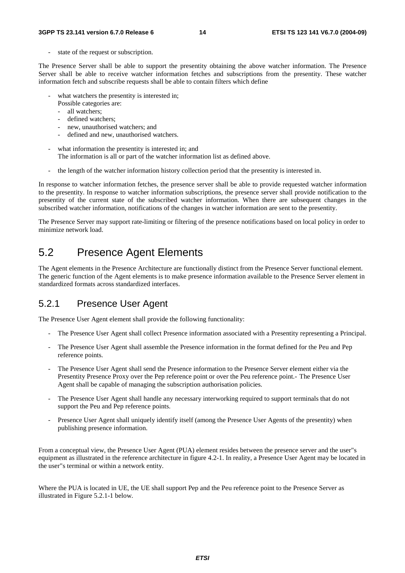state of the request or subscription.

The Presence Server shall be able to support the presentity obtaining the above watcher information. The Presence Server shall be able to receive watcher information fetches and subscriptions from the presentity. These watcher information fetch and subscribe requests shall be able to contain filters which define

- what watchers the presentity is interested in;
	- Possible categories are:
	- all watchers;
	- defined watchers;
	- new, unauthorised watchers; and
	- defined and new, unauthorised watchers.
- what information the presentity is interested in; and The information is all or part of the watcher information list as defined above.
- the length of the watcher information history collection period that the presentity is interested in.

In response to watcher information fetches, the presence server shall be able to provide requested watcher information to the presentity. In response to watcher information subscriptions, the presence server shall provide notification to the presentity of the current state of the subscribed watcher information. When there are subsequent changes in the subscribed watcher information, notifications of the changes in watcher information are sent to the presentity.

The Presence Server may support rate-limiting or filtering of the presence notifications based on local policy in order to minimize network load.

## 5.2 Presence Agent Elements

The Agent elements in the Presence Architecture are functionally distinct from the Presence Server functional element. The generic function of the Agent elements is to make presence information available to the Presence Server element in standardized formats across standardized interfaces.

## 5.2.1 Presence User Agent

The Presence User Agent element shall provide the following functionality:

- The Presence User Agent shall collect Presence information associated with a Presentity representing a Principal.
- The Presence User Agent shall assemble the Presence information in the format defined for the Peu and Pep reference points.
- The Presence User Agent shall send the Presence information to the Presence Server element either via the Presentity Presence Proxy over the Pep reference point or over the Peu reference point.- The Presence User Agent shall be capable of managing the subscription authorisation policies.
- The Presence User Agent shall handle any necessary interworking required to support terminals that do not support the Peu and Pep reference points.
- Presence User Agent shall uniquely identify itself (among the Presence User Agents of the presentity) when publishing presence information.

From a conceptual view, the Presence User Agent (PUA) element resides between the presence server and the user"s equipment as illustrated in the reference architecture in figure 4.2-1. In reality, a Presence User Agent may be located in the user"s terminal or within a network entity.

Where the PUA is located in UE, the UE shall support Pep and the Peu reference point to the Presence Server as illustrated in Figure 5.2.1-1 below.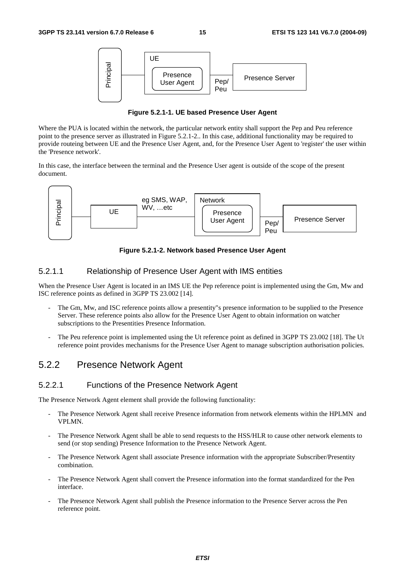

**Figure 5.2.1-1. UE based Presence User Agent** 

Where the PUA is located within the network, the particular network entity shall support the Pep and Peu reference point to the presence server as illustrated in Figure 5.2.1-2.. In this case, additional functionality may be required to provide routeing between UE and the Presence User Agent, and, for the Presence User Agent to 'register' the user within the 'Presence network'.

In this case, the interface between the terminal and the Presence User agent is outside of the scope of the present document.



**Figure 5.2.1-2. Network based Presence User Agent** 

#### 5.2.1.1 Relationship of Presence User Agent with IMS entities

When the Presence User Agent is located in an IMS UE the Pep reference point is implemented using the Gm, Mw and ISC reference points as defined in 3GPP TS 23.002 [14].

- The Gm, Mw, and ISC reference points allow a presentity"s presence information to be supplied to the Presence Server. These reference points also allow for the Presence User Agent to obtain information on watcher subscriptions to the Presentities Presence Information.
- The Peu reference point is implemented using the Ut reference point as defined in 3GPP TS 23.002 [18]. The Ut reference point provides mechanisms for the Presence User Agent to manage subscription authorisation policies.

### 5.2.2 Presence Network Agent

#### 5.2.2.1 Functions of the Presence Network Agent

The Presence Network Agent element shall provide the following functionality:

- The Presence Network Agent shall receive Presence information from network elements within the HPLMN and VPLMN.
- The Presence Network Agent shall be able to send requests to the HSS/HLR to cause other network elements to send (or stop sending) Presence Information to the Presence Network Agent.
- The Presence Network Agent shall associate Presence information with the appropriate Subscriber/Presentity combination.
- The Presence Network Agent shall convert the Presence information into the format standardized for the Pen interface.
- The Presence Network Agent shall publish the Presence information to the Presence Server across the Pen reference point.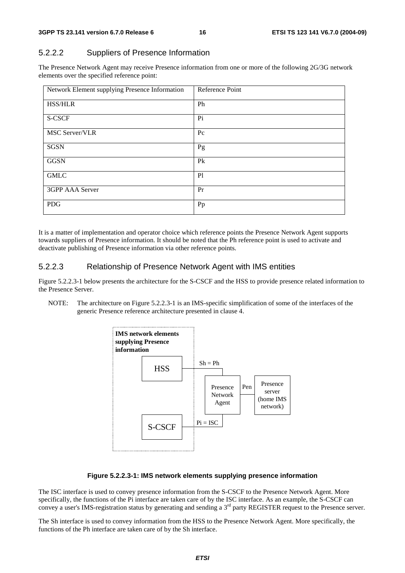## 5.2.2.2 Suppliers of Presence Information

The Presence Network Agent may receive Presence information from one or more of the following 2G/3G network elements over the specified reference point:

| Network Element supplying Presence Information | Reference Point |
|------------------------------------------------|-----------------|
| <b>HSS/HLR</b>                                 | Ph              |
| S-CSCF                                         | Pi              |
| <b>MSC Server/VLR</b>                          | $P_{\rm C}$     |
| <b>SGSN</b>                                    | Pg              |
| <b>GGSN</b>                                    | P <sub>k</sub>  |
| <b>GMLC</b>                                    | P <sub>1</sub>  |
| 3GPP AAA Server                                | Pr              |
| <b>PDG</b>                                     | Pp              |

It is a matter of implementation and operator choice which reference points the Presence Network Agent supports towards suppliers of Presence information. It should be noted that the Ph reference point is used to activate and deactivate publishing of Presence information via other reference points.

#### 5.2.2.3 Relationship of Presence Network Agent with IMS entities

Figure 5.2.2.3-1 below presents the architecture for the S-CSCF and the HSS to provide presence related information to the Presence Server.

NOTE: The architecture on Figure 5.2.2.3-1 is an IMS-specific simplification of some of the interfaces of the generic Presence reference architecture presented in clause 4.



#### **Figure 5.2.2.3-1: IMS network elements supplying presence information**

The ISC interface is used to convey presence information from the S-CSCF to the Presence Network Agent. More specifically, the functions of the Pi interface are taken care of by the ISC interface. As an example, the S-CSCF can convey a user's IMS-registration status by generating and sending a 3<sup>rd</sup> party REGISTER request to the Presence server.

The Sh interface is used to convey information from the HSS to the Presence Network Agent. More specifically, the functions of the Ph interface are taken care of by the Sh interface.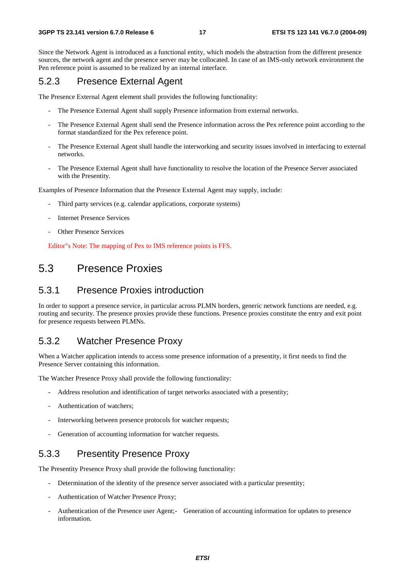Since the Network Agent is introduced as a functional entity, which models the abstraction from the different presence sources, the network agent and the presence server may be collocated. In case of an IMS-only network environment the Pen reference point is assumed to be realized by an internal interface.

#### 5.2.3 Presence External Agent

The Presence External Agent element shall provides the following functionality:

- The Presence External Agent shall supply Presence information from external networks.
- The Presence External Agent shall send the Presence information across the Pex reference point according to the format standardized for the Pex reference point.
- The Presence External Agent shall handle the interworking and security issues involved in interfacing to external networks.
- The Presence External Agent shall have functionality to resolve the location of the Presence Server associated with the Presentity.

Examples of Presence Information that the Presence External Agent may supply, include:

- Third party services (e.g. calendar applications, corporate systems)
- **Internet Presence Services**
- **Other Presence Services**

Editor"s Note: The mapping of Pex to IMS reference points is FFS.

## 5.3 Presence Proxies

### 5.3.1 Presence Proxies introduction

In order to support a presence service, in particular across PLMN borders, generic network functions are needed, e.g. routing and security. The presence proxies provide these functions. Presence proxies constitute the entry and exit point for presence requests between PLMNs.

#### 5.3.2 Watcher Presence Proxy

When a Watcher application intends to access some presence information of a presentity, it first needs to find the Presence Server containing this information.

The Watcher Presence Proxy shall provide the following functionality:

- Address resolution and identification of target networks associated with a presentity;
- Authentication of watchers;
- Interworking between presence protocols for watcher requests;
- Generation of accounting information for watcher requests.

### 5.3.3 Presentity Presence Proxy

The Presentity Presence Proxy shall provide the following functionality:

- Determination of the identity of the presence server associated with a particular presentity;
- Authentication of Watcher Presence Proxy;
- Authentication of the Presence user Agent;- Generation of accounting information for updates to presence information.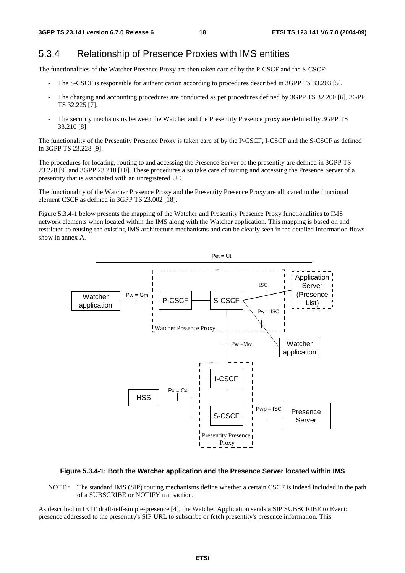## 5.3.4 Relationship of Presence Proxies with IMS entities

The functionalities of the Watcher Presence Proxy are then taken care of by the P-CSCF and the S-CSCF:

- The S-CSCF is responsible for authentication according to procedures described in 3GPP TS 33.203 [5].
- The charging and accounting procedures are conducted as per procedures defined by 3GPP TS 32.200 [6], 3GPP TS 32.225 [7].
- The security mechanisms between the Watcher and the Presentity Presence proxy are defined by 3GPP TS 33.210 [8].

The functionality of the Presentity Presence Proxy is taken care of by the P-CSCF, I-CSCF and the S-CSCF as defined in 3GPP TS 23.228 [9].

The procedures for locating, routing to and accessing the Presence Server of the presentity are defined in 3GPP TS 23.228 [9] and 3GPP 23.218 [10]. These procedures also take care of routing and accessing the Presence Server of a presentity that is associated with an unregistered UE.

The functionality of the Watcher Presence Proxy and the Presentity Presence Proxy are allocated to the functional element CSCF as defined in 3GPP TS 23.002 [18].

Figure 5.3.4-1 below presents the mapping of the Watcher and Presentity Presence Proxy functionalities to IMS network elements when located within the IMS along with the Watcher application. This mapping is based on and restricted to reusing the existing IMS architecture mechanisms and can be clearly seen in the detailed information flows show in annex A.



#### **Figure 5.3.4-1: Both the Watcher application and the Presence Server located within IMS**

NOTE : The standard IMS (SIP) routing mechanisms define whether a certain CSCF is indeed included in the path of a SUBSCRIBE or NOTIFY transaction.

As described in IETF draft-ietf-simple-presence [4], the Watcher Application sends a SIP SUBSCRIBE to Event: presence addressed to the presentity's SIP URL to subscribe or fetch presentity's presence information. This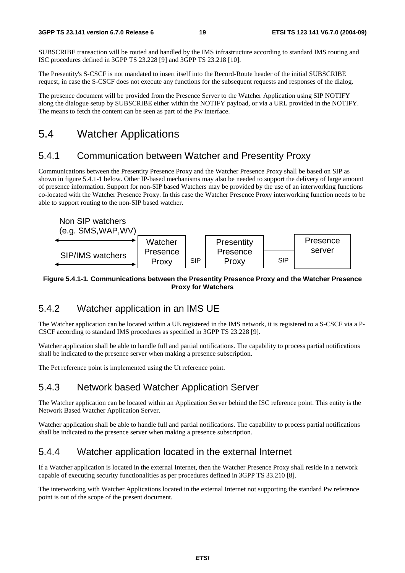SUBSCRIBE transaction will be routed and handled by the IMS infrastructure according to standard IMS routing and ISC procedures defined in 3GPP TS 23.228 [9] and 3GPP TS 23.218 [10].

The Presentity's S-CSCF is not mandated to insert itself into the Record-Route header of the initial SUBSCRIBE request, in case the S-CSCF does not execute any functions for the subsequent requests and responses of the dialog.

The presence document will be provided from the Presence Server to the Watcher Application using SIP NOTIFY along the dialogue setup by SUBSCRIBE either within the NOTIFY payload, or via a URL provided in the NOTIFY. The means to fetch the content can be seen as part of the Pw interface.

## 5.4 Watcher Applications

#### 5.4.1 Communication between Watcher and Presentity Proxy

Communications between the Presentity Presence Proxy and the Watcher Presence Proxy shall be based on SIP as shown in figure 5.4.1-1 below. Other IP-based mechanisms may also be needed to support the delivery of large amount of presence information. Support for non-SIP based Watchers may be provided by the use of an interworking functions co-located with the Watcher Presence Proxy. In this case the Watcher Presence Proxy interworking function needs to be able to support routing to the non-SIP based watcher.



#### **Figure 5.4.1-1. Communications between the Presentity Presence Proxy and the Watcher Presence Proxy for Watchers**

#### 5.4.2 Watcher application in an IMS UE

The Watcher application can be located within a UE registered in the IMS network, it is registered to a S-CSCF via a P-CSCF according to standard IMS procedures as specified in 3GPP TS 23.228 [9].

Watcher application shall be able to handle full and partial notifications. The capability to process partial notifications shall be indicated to the presence server when making a presence subscription.

The Pet reference point is implemented using the Ut reference point.

## 5.4.3 Network based Watcher Application Server

The Watcher application can be located within an Application Server behind the ISC reference point. This entity is the Network Based Watcher Application Server.

Watcher application shall be able to handle full and partial notifications. The capability to process partial notifications shall be indicated to the presence server when making a presence subscription.

#### 5.4.4 Watcher application located in the external Internet

If a Watcher application is located in the external Internet, then the Watcher Presence Proxy shall reside in a network capable of executing security functionalities as per procedures defined in 3GPP TS 33.210 [8].

The interworking with Watcher Applications located in the external Internet not supporting the standard Pw reference point is out of the scope of the present document.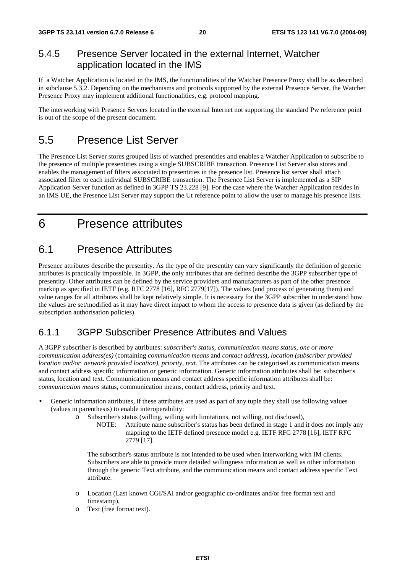## 5.4.5 Presence Server located in the external Internet, Watcher application located in the IMS

If a Watcher Application is located in the IMS, the functionalities of the Watcher Presence Proxy shall be as described in subclause 5.3.2. Depending on the mechanisms and protocols supported by the external Presence Server, the Watcher Presence Proxy may implement additional functionalities, e.g. protocol mapping.

The interworking with Presence Servers located in the external Internet not supporting the standard Pw reference point is out of the scope of the present document.

## 5.5 Presence List Server

The Presence List Server stores grouped lists of watched presentities and enables a Watcher Application to subscribe to the presence of multiple presentities using a single SUBSCRIBE transaction. Presence List Server also stores and enables the management of filters associated to presentities in the presence list. Presence list server shall attach associated filter to each individual SUBSCRIBE transaction. The Presence List Server is implemented as a SIP Application Server function as defined in 3GPP TS 23.228 [9]. For the case where the Watcher Application resides in an IMS UE, the Presence List Server may support the Ut reference point to allow the user to manage his presence lists.

## 6 Presence attributes

## 6.1 Presence Attributes

Presence attributes describe the presentity. As the type of the presentity can vary significantly the definition of generic attributes is practically impossible. In 3GPP, the only attributes that are defined describe the 3GPP subscriber type of presentity. Other attributes can be defined by the service providers and manufacturers as part of the other presence markup as specified in IETF (e.g. RFC 2778 [16], RFC 2779[17]). The values (and process of generating them) and value ranges for all attributes shall be kept relatively simple. It is necessary for the 3GPP subscriber to understand how the values are set/modified as it may have direct impact to whom the access to presence data is given (as defined by the subscription authorisation policies).

## 6.1.1 3GPP Subscriber Presence Attributes and Values

A 3GPP subscriber is described by attributes: *subscriber's status, communication means status, one or more communication address(es)* (containing *communication means* and *contact address*)*, location (subscriber provided location and/or network provided location), priority, text.* The attributes can be categorised as communication means and contact address specific information or generic information. Generic information attributes shall be: subscriber's status, location and text. Communication means and contact address specific information attributes shall be: *communication means* status, communication means, contact address, priority and text.

- Generic information attributes, if these attributes are used as part of any tuple they shall use following values (values in parenthesis) to enable interoperability:
	- o Subscriber's status (willing, willing with limitations, not willing, not disclosed),
		- NOTE: Attribute name subscriber's status has been defined in stage 1 and it does not imply any mapping to the IETF defined presence model e.g. IETF RFC 2778 [16], IETF RFC 2779 [17].

The subscriber's status attribute is not intended to be used when interworking with IM clients. Subscribers are able to provide more detailed willingness information as well as other information through the generic Text attribute, and the communication means and contact address specific Text attribute.

- o Location (Last known CGI/SAI and/or geographic co-ordinates and/or free format text and timestamp),
- o Text (free format text).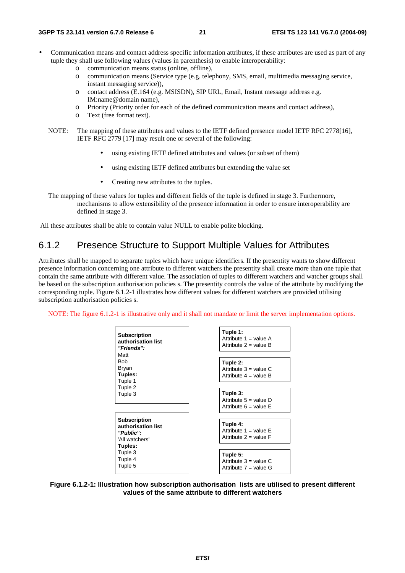- Communication means and contact address specific information attributes, if these attributes are used as part of any tuple they shall use following values (values in parenthesis) to enable interoperability:
	- o communication means status (online, offline),
	- o communication means (Service type (e.g. telephony, SMS, email, multimedia messaging service, instant messaging service)),
	- o contact address (E.164 (e.g. MSISDN), SIP URL, Email, Instant message address e.g. IM:name@domain name),
	- o Priority (Priority order for each of the defined communication means and contact address),
	- o Text (free format text).
	- NOTE: The mapping of these attributes and values to the IETF defined presence model IETF RFC 2778[16], IETF RFC 2779 [17] may result one or several of the following:
		- using existing IETF defined attributes and values (or subset of them)
		- using existing IETF defined attributes but extending the value set
		- Creating new attributes to the tuples.
	- The mapping of these values for tuples and different fields of the tuple is defined in stage 3. Furthermore, mechanisms to allow extensibility of the presence information in order to ensure interoperability are defined in stage 3.

All these attributes shall be able to contain value NULL to enable polite blocking.

## 6.1.2 Presence Structure to Support Multiple Values for Attributes

Attributes shall be mapped to separate tuples which have unique identifiers. If the presentity wants to show different presence information concerning one attribute to different watchers the presentity shall create more than one tuple that contain the same attribute with different value. The association of tuples to different watchers and watcher groups shall be based on the subscription authorisation policies s. The presentity controls the value of the attribute by modifying the corresponding tuple. Figure 6.1.2-1 illustrates how different values for different watchers are provided utilising subscription authorisation policies s.

NOTE: The figure 6.1.2-1 is illustrative only and it shall not mandate or limit the server implementation options.



**Figure 6.1.2-1: Illustration how subscription authorisation lists are utilised to present different values of the same attribute to different watchers**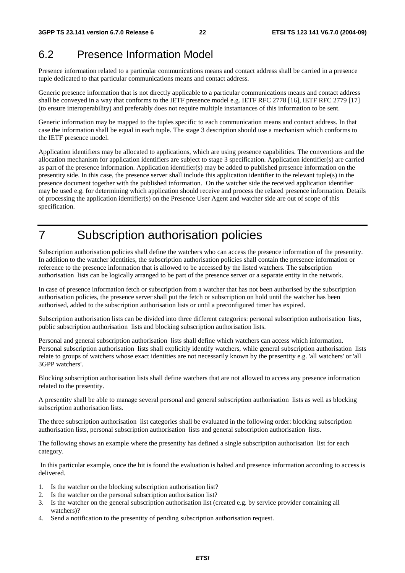## 6.2 Presence Information Model

Presence information related to a particular communications means and contact address shall be carried in a presence tuple dedicated to that particular communications means and contact address.

Generic presence information that is not directly applicable to a particular communications means and contact address shall be conveyed in a way that conforms to the IETF presence model e.g. IETF RFC 2778 [16], IETF RFC 2779 [17] (to ensure interoperability) and preferably does not require multiple instantances of this information to be sent.

Generic information may be mapped to the tuples specific to each communication means and contact address. In that case the information shall be equal in each tuple. The stage 3 description should use a mechanism which conforms to the IETF presence model.

Application identifiers may be allocated to applications, which are using presence capabilities. The conventions and the allocation mechanism for application identifiers are subject to stage 3 specification. Application identifier(s) are carried as part of the presence information. Application identifier(s) may be added to published presence information on the presentity side. In this case, the presence server shall include this application identifier to the relevant tuple(s) in the presence document together with the published information. On the watcher side the received application identifier may be used e.g. for determining which application should receive and process the related presence information. Details of processing the application identifier(s) on the Presence User Agent and watcher side are out of scope of this specification.

## 7 Subscription authorisation policies

Subscription authorisation policies shall define the watchers who can access the presence information of the presentity. In addition to the watcher identities, the subscription authorisation policies shall contain the presence information or reference to the presence information that is allowed to be accessed by the listed watchers. The subscription authorisation lists can be logically arranged to be part of the presence server or a separate entity in the network.

In case of presence information fetch or subscription from a watcher that has not been authorised by the subscription authorisation policies, the presence server shall put the fetch or subscription on hold until the watcher has been authorised, added to the subscription authorisation lists or until a preconfigured timer has expired.

Subscription authorisation lists can be divided into three different categories: personal subscription authorisation lists, public subscription authorisation lists and blocking subscription authorisation lists.

Personal and general subscription authorisation lists shall define which watchers can access which information. Personal subscription authorisation lists shall explicitly identify watchers, while general subscription authorisation lists relate to groups of watchers whose exact identities are not necessarily known by the presentity e.g. 'all watchers' or 'all 3GPP watchers'.

Blocking subscription authorisation lists shall define watchers that are not allowed to access any presence information related to the presentity.

A presentity shall be able to manage several personal and general subscription authorisation lists as well as blocking subscription authorisation lists.

The three subscription authorisation list categories shall be evaluated in the following order: blocking subscription authorisation lists, personal subscription authorisation lists and general subscription authorisation lists.

The following shows an example where the presentity has defined a single subscription authorisation list for each category.

 In this particular example, once the hit is found the evaluation is halted and presence information according to access is delivered.

- 1. Is the watcher on the blocking subscription authorisation list?
- 2. Is the watcher on the personal subscription authorisation list?
- 3. Is the watcher on the general subscription authorisation list (created e.g. by service provider containing all watchers)?
- 4. Send a notification to the presentity of pending subscription authorisation request.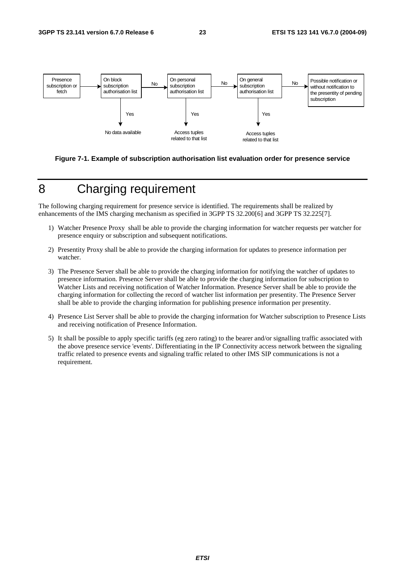

**Figure 7-1. Example of subscription authorisation list evaluation order for presence service** 

## 8 Charging requirement

The following charging requirement for presence service is identified. The requirements shall be realized by enhancements of the IMS charging mechanism as specified in 3GPP TS 32.200[6] and 3GPP TS 32.225[7].

- 1) Watcher Presence Proxy shall be able to provide the charging information for watcher requests per watcher for presence enquiry or subscription and subsequent notifications.
- 2) Presentity Proxy shall be able to provide the charging information for updates to presence information per watcher.
- 3) The Presence Server shall be able to provide the charging information for notifying the watcher of updates to presence information. Presence Server shall be able to provide the charging information for subscription to Watcher Lists and receiving notification of Watcher Information. Presence Server shall be able to provide the charging information for collecting the record of watcher list information per presentity. The Presence Server shall be able to provide the charging information for publishing presence information per presentity.
- 4) Presence List Server shall be able to provide the charging information for Watcher subscription to Presence Lists and receiving notification of Presence Information.
- 5) It shall be possible to apply specific tariffs (eg zero rating) to the bearer and/or signalling traffic associated with the above presence service 'events'. Differentiating in the IP Connectivity access network between the signaling traffic related to presence events and signaling traffic related to other IMS SIP communications is not a requirement.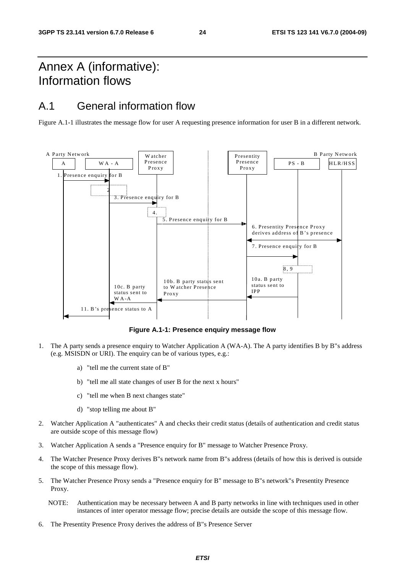## Annex A (informative): Information flows

## A.1 General information flow

Figure A.1-1 illustrates the message flow for user A requesting presence information for user B in a different network.



**Figure A.1-1: Presence enquiry message flow** 

- 1. The A party sends a presence enquiry to Watcher Application A (WA-A). The A party identifies B by B"s address (e.g. MSISDN or URI). The enquiry can be of various types, e.g.:
	- a) "tell me the current state of B"
	- b) "tell me all state changes of user B for the next x hours"
	- c) "tell me when B next changes state"
	- d) "stop telling me about B"
- 2. Watcher Application A "authenticates" A and checks their credit status (details of authentication and credit status are outside scope of this message flow)
- 3. Watcher Application A sends a "Presence enquiry for B" message to Watcher Presence Proxy.
- 4. The Watcher Presence Proxy derives B"s network name from B"s address (details of how this is derived is outside the scope of this message flow).
- 5. The Watcher Presence Proxy sends a "Presence enquiry for B" message to B"s network"s Presentity Presence Proxy.
	- NOTE: Authentication may be necessary between A and B party networks in line with techniques used in other instances of inter operator message flow; precise details are outside the scope of this message flow.
- 6. The Presentity Presence Proxy derives the address of B"s Presence Server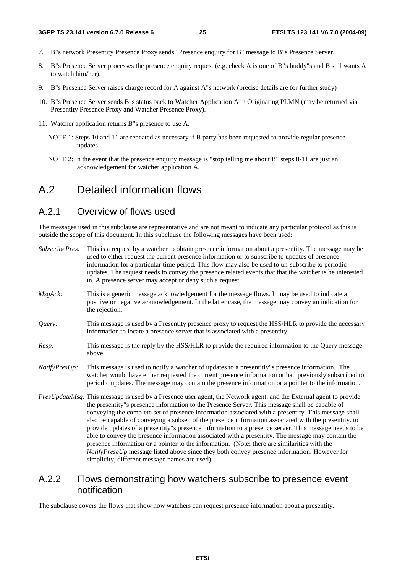- 7. B"s network Presentity Presence Proxy sends "Presence enquiry for B" message to B"s Presence Server.
- 8. B"s Presence Server processes the presence enquiry request (e.g. check A is one of B"s buddy"s and B still wants A to watch him/her).
- 9. B"s Presence Server raises charge record for A against A"s network (precise details are for further study)
- 10. B"s Presence Server sends B"s status back to Watcher Application A in Originating PLMN (may be returned via Presentity Presence Proxy and Watcher Presence Proxy).
- 11. Watcher application returns B"s presence to use A.
	- NOTE 1: Steps 10 and 11 are repeated as necessary if B party has been requested to provide regular presence updates.
	- NOTE 2: In the event that the presence enquiry message is "stop telling me about B" steps 8-11 are just an acknowledgement for watcher application A.

## A.2 Detailed information flows

#### A.2.1 Overview of flows used

The messages used in this subclause are representative and are not meant to indicate any particular protocol as this is outside the scope of this document. In this subclause the following messages have been used:

| SubscribePres: | This is a request by a watcher to obtain presence information about a presentity. The message may be<br>used to either request the current presence information or to subscribe to updates of presence<br>information for a particular time period. This flow may also be used to un-subscribe to periodic<br>updates. The request needs to convey the presence related events that that the watcher is be interested<br>in. A presence server may accept or deny such a request.                                                                                                                                                                                                                                                                 |
|----------------|---------------------------------------------------------------------------------------------------------------------------------------------------------------------------------------------------------------------------------------------------------------------------------------------------------------------------------------------------------------------------------------------------------------------------------------------------------------------------------------------------------------------------------------------------------------------------------------------------------------------------------------------------------------------------------------------------------------------------------------------------|
| MsgAck:        | This is a generic message acknowledgement for the message flows. It may be used to indicate a<br>positive or negative acknowledgement. In the latter case, the message may convey an indication for<br>the rejection.                                                                                                                                                                                                                                                                                                                                                                                                                                                                                                                             |
| Query:         | This message is used by a Presentity presence proxy to request the HSS/HLR to provide the necessary<br>information to locate a presence server that is associated with a presentity.                                                                                                                                                                                                                                                                                                                                                                                                                                                                                                                                                              |
| Resp:          | This message is the reply by the HSS/HLR to provide the required information to the Query message<br>above.                                                                                                                                                                                                                                                                                                                                                                                                                                                                                                                                                                                                                                       |
| NotifyPresUp:  | This message is used to notify a watcher of updates to a presentitiy''s presence information. The<br>watcher would have either requested the current presence information or had previously subscribed to<br>periodic updates. The message may contain the presence information or a pointer to the information.                                                                                                                                                                                                                                                                                                                                                                                                                                  |
|                | PresUpdateMsg: This message is used by a Presence user agent, the Network agent, and the External agent to provide<br>the presentity"s presence information to the Presence Server. This message shall be capable of<br>conveying the complete set of presence information associated with a presentity. This message shall<br>also be capable of conveying a subset of the presence information associated with the presentity, to<br>provide updates of a presentity"s presence information to a presence server. This message needs to be<br>able to convey the presence information associated with a presentity. The message may contain the<br>presence information or a pointer to the information. (Note: there are similarities with the |

## simplicity, different message names are used). A.2.2 Flows demonstrating how watchers subscribe to presence event

*NotifyPreseUp* message listed above since they both convey presence information. However for

## notification

The subclause covers the flows that show how watchers can request presence information about a presentity.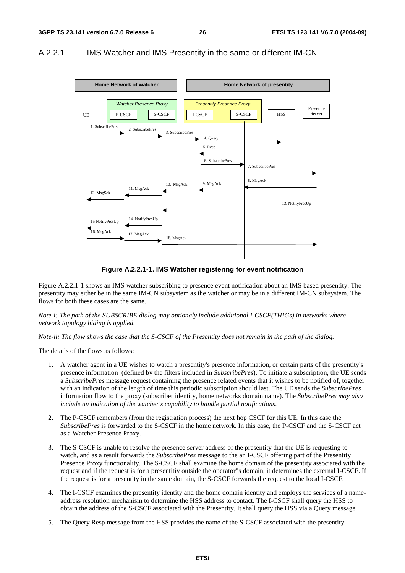#### A.2.2.1 IMS Watcher and IMS Presentity in the same or different IM-CN



**Figure A.2.2.1-1. IMS Watcher registering for event notification** 

Figure A.2.2.1-1 shows an IMS watcher subscribing to presence event notification about an IMS based presentity. The presentity may either be in the same IM-CN subsystem as the watcher or may be in a different IM-CN subsystem. The flows for both these cases are the same.

*Note-i: The path of the SUBSCRIBE dialog may optionaly include additional I-CSCF(THIGs) in networks where network topology hiding is applied.* 

*Note-ii: The flow shows the case that the S-CSCF of the Presentity does not remain in the path of the dialog.*

The details of the flows as follows:

- 1. A watcher agent in a UE wishes to watch a presentity's presence information, or certain parts of the presentity's presence information (defined by the filters included in *SubscribePres*). To initiate a subscription, the UE sends a *SubscribePres* message request containing the presence related events that it wishes to be notified of, together with an indication of the length of time this periodic subscription should last. The UE sends the *SubscribePres* information flow to the proxy (subscriber identity, home networks domain name). The *SubscribePres may also include an indication of the watcher's capability to handle partial notifications*.
- 2. The P-CSCF remembers (from the registration process) the next hop CSCF for this UE. In this case the *SubscribePres* is forwarded to the S-CSCF in the home network. In this case, the P-CSCF and the S-CSCF act as a Watcher Presence Proxy.
- 3. The S-CSCF is unable to resolve the presence server address of the presentity that the UE is requesting to watch, and as a result forwards the *SubscribePres* message to the an I-CSCF offering part of the Presentity Presence Proxy functionality. The S-CSCF shall examine the home domain of the presentity associated with the request and if the request is for a presentitiy outside the operator"s domain, it determines the external I-CSCF. If the request is for a presentity in the same domain, the S-CSCF forwards the request to the local I-CSCF.
- 4. The I-CSCF examines the presentity identity and the home domain identity and employs the services of a nameaddress resolution mechanism to determine the HSS address to contact. The I-CSCF shall query the HSS to obtain the address of the S-CSCF associated with the Presentity. It shall query the HSS via a Query message.
- 5. The Query Resp message from the HSS provides the name of the S-CSCF associated with the presentity.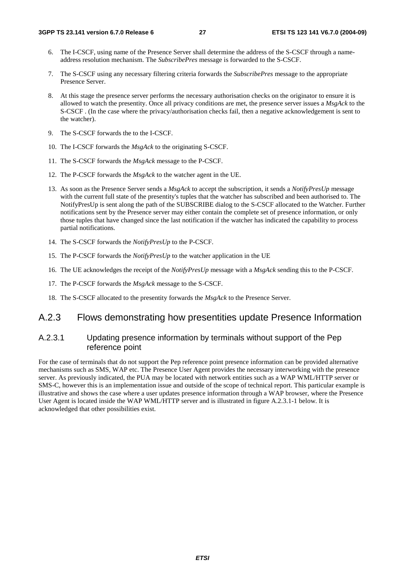- 6. The I-CSCF, using name of the Presence Server shall determine the address of the S-CSCF through a nameaddress resolution mechanism. The *SubscribePres* message is forwarded to the S-CSCF.
- 7. The S-CSCF using any necessary filtering criteria forwards the *SubscribePres* message to the appropriate Presence Server.
- 8. At this stage the presence server performs the necessary authorisation checks on the originator to ensure it is allowed to watch the presentity. Once all privacy conditions are met, the presence server issues a *MsgAck* to the S-CSCF . (In the case where the privacy/authorisation checks fail, then a negative acknowledgement is sent to the watcher).
- 9. The S-CSCF forwards the to the I-CSCF.
- 10. The I-CSCF forwards the *MsgAck* to the originating S-CSCF.
- 11. The S-CSCF forwards the *MsgAck* message to the P-CSCF.
- 12. The P-CSCF forwards the *MsgAck* to the watcher agent in the UE.
- 13. As soon as the Presence Server sends a *MsgAck* to accept the subscription, it sends a *NotifyPresUp* message with the current full state of the presentity's tuples that the watcher has subscribed and been authorised to. The NotifyPresUp is sent along the path of the SUBSCRIBE dialog to the S-CSCF allocated to the Watcher. Further notifications sent by the Presence server may either contain the complete set of presence information, or only those tuples that have changed since the last notification if the watcher has indicated the capability to process partial notifications.
- 14. The S-CSCF forwards the *NotifyPresUp* to the P-CSCF.
- 15. The P-CSCF forwards the *NotifyPresUp* to the watcher application in the UE
- 16. The UE acknowledges the receipt of the *NotifyPresUp* message with a *MsgAck* sending this to the P-CSCF.
- 17. The P-CSCF forwards the *MsgAck* message to the S-CSCF.
- 18. The S-CSCF allocated to the presentity forwards the *MsgAck* to the Presence Server.

#### A.2.3 Flows demonstrating how presentities update Presence Information

#### A.2.3.1 Updating presence information by terminals without support of the Pep reference point

For the case of terminals that do not support the Pep reference point presence information can be provided alternative mechanisms such as SMS, WAP etc. The Presence User Agent provides the necessary interworking with the presence server. As previously indicated, the PUA may be located with network entities such as a WAP WML/HTTP server or SMS-C, however this is an implementation issue and outside of the scope of technical report. This particular example is illustrative and shows the case where a user updates presence information through a WAP browser, where the Presence User Agent is located inside the WAP WML/HTTP server and is illustrated in figure A.2.3.1-1 below. It is acknowledged that other possibilities exist.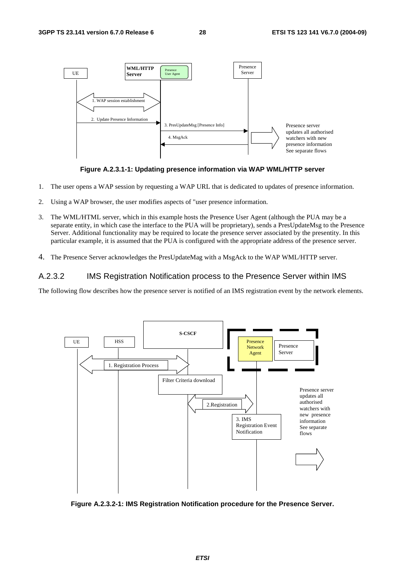



- 1. The user opens a WAP session by requesting a WAP URL that is dedicated to updates of presence information.
- 2. Using a WAP browser, the user modifies aspects of "user presence information.
- 3. The WML/HTML server, which in this example hosts the Presence User Agent (although the PUA may be a separate entity, in which case the interface to the PUA will be proprietary), sends a PresUpdateMsg to the Presence Server. Additional functionality may be required to locate the presence server associated by the presentity. In this particular example, it is assumed that the PUA is configured with the appropriate address of the presence server.
- 4. The Presence Server acknowledges the PresUpdateMag with a MsgAck to the WAP WML/HTTP server.

#### A.2.3.2 IMS Registration Notification process to the Presence Server within IMS

The following flow describes how the presence server is notified of an IMS registration event by the network elements.



**Figure A.2.3.2-1: IMS Registration Notification procedure for the Presence Server.**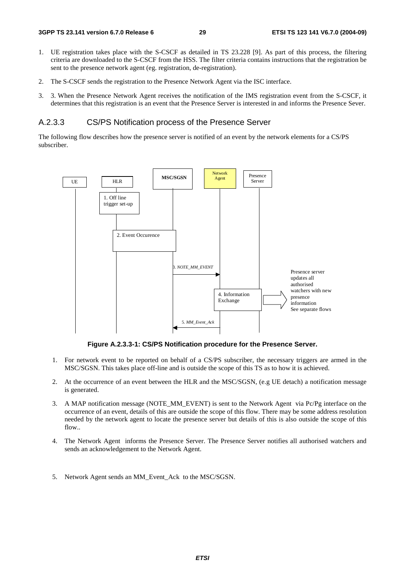- 1. UE registration takes place with the S-CSCF as detailed in TS 23.228 [9]. As part of this process, the filtering criteria are downloaded to the S-CSCF from the HSS. The filter criteria contains instructions that the registration be sent to the presence network agent (eg. registration, de-registration).
- 2. The S-CSCF sends the registration to the Presence Network Agent via the ISC interface.
- 3. 3. When the Presence Network Agent receives the notification of the IMS registration event from the S-CSCF, it determines that this registration is an event that the Presence Server is interested in and informs the Presence Sever.

#### A.2.3.3 CS/PS Notification process of the Presence Server

The following flow describes how the presence server is notified of an event by the network elements for a CS/PS subscriber.



**Figure A.2.3.3-1: CS/PS Notification procedure for the Presence Server.** 

- 1. For network event to be reported on behalf of a CS/PS subscriber, the necessary triggers are armed in the MSC/SGSN. This takes place off-line and is outside the scope of this TS as to how it is achieved.
- 2. At the occurrence of an event between the HLR and the MSC/SGSN, (e.g UE detach) a notification message is generated.
- 3. A MAP notification message (NOTE\_MM\_EVENT) is sent to the Network Agent via Pc/Pg interface on the occurrence of an event, details of this are outside the scope of this flow. There may be some address resolution needed by the network agent to locate the presence server but details of this is also outside the scope of this flow..
- 4. The Network Agent informs the Presence Server. The Presence Server notifies all authorised watchers and sends an acknowledgement to the Network Agent.
- 5. Network Agent sends an MM\_Event\_Ack to the MSC/SGSN.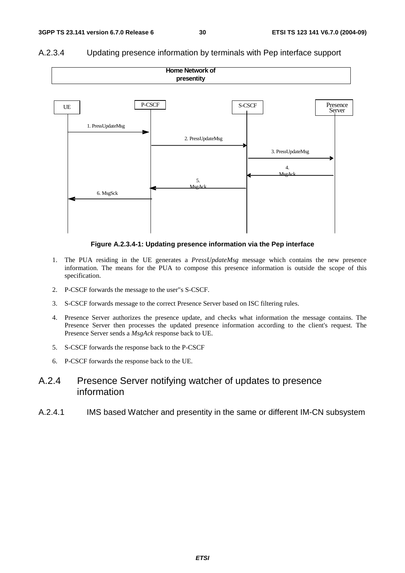

#### A.2.3.4 Updating presence information by terminals with Pep interface support

**Figure A.2.3.4-1: Updating presence information via the Pep interface** 

- 1. The PUA residing in the UE generates a *PressUpdateMsg* message which contains the new presence information. The means for the PUA to compose this presence information is outside the scope of this specification.
- 2. P-CSCF forwards the message to the user"s S-CSCF.
- 3. S-CSCF forwards message to the correct Presence Server based on ISC filtering rules.
- 4. Presence Server authorizes the presence update, and checks what information the message contains. The Presence Server then processes the updated presence information according to the client's request. The Presence Server sends a *MsgAck* response back to UE.
- 5. S-CSCF forwards the response back to the P-CSCF
- 6. P-CSCF forwards the response back to the UE.

## A.2.4 Presence Server notifying watcher of updates to presence information

A.2.4.1 IMS based Watcher and presentity in the same or different IM-CN subsystem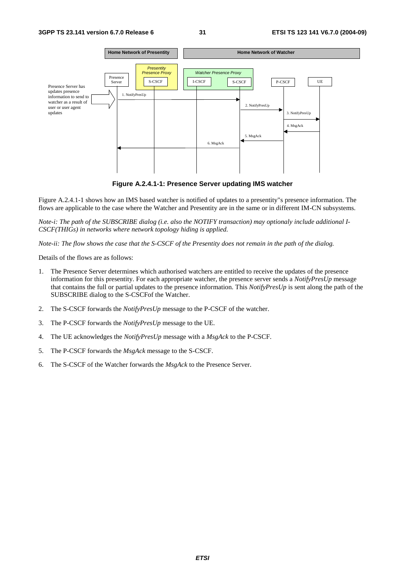

**Figure A.2.4.1-1: Presence Server updating IMS watcher** 

Figure A.2.4.1-1 shows how an IMS based watcher is notified of updates to a presentity"s presence information. The flows are applicable to the case where the Watcher and Presentity are in the same or in different IM-CN subsystems.

*Note-i: The path of the SUBSCRIBE dialog (i.e. also the NOTIFY transaction) may optionaly include additional I-CSCF(THIGs) in networks where network topology hiding is applied.* 

*Note-ii: The flow shows the case that the S-CSCF of the Presentity does not remain in the path of the dialog.* 

Details of the flows are as follows:

- 1. The Presence Server determines which authorised watchers are entitled to receive the updates of the presence information for this presentity. For each appropriate watcher, the presence server sends a *NotifyPresUp* message that contains the full or partial updates to the presence information. This *NotifyPresUp* is sent along the path of the SUBSCRIBE dialog to the S-CSCFof the Watcher.
- 2. The S-CSCF forwards the *NotifyPresUp* message to the P-CSCF of the watcher.
- 3. The P-CSCF forwards the *NotifyPresUp* message to the UE.
- 4. The UE acknowledges the *NotifyPresUp* message with a *MsgAck* to the P-CSCF.
- 5. The P-CSCF forwards the *MsgAck* message to the S-CSCF.
- 6. The S-CSCF of the Watcher forwards the *MsgAck* to the Presence Server.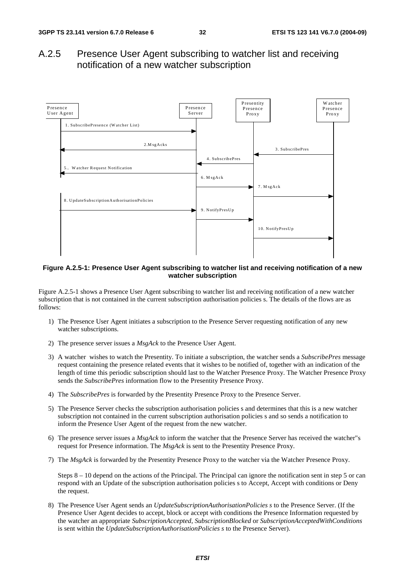## A.2.5 Presence User Agent subscribing to watcher list and receiving notification of a new watcher subscription



#### **Figure A.2.5-1: Presence User Agent subscribing to watcher list and receiving notification of a new watcher subscription**

Figure A.2.5-1 shows a Presence User Agent subscribing to watcher list and receiving notification of a new watcher subscription that is not contained in the current subscription authorisation policies s. The details of the flows are as follows:

- 1) The Presence User Agent initiates a subscription to the Presence Server requesting notification of any new watcher subscriptions.
- 2) The presence server issues a *MsgAck* to the Presence User Agent.
- 3) A watcher wishes to watch the Presentity. To initiate a subscription, the watcher sends a *SubscribePres* message request containing the presence related events that it wishes to be notified of, together with an indication of the length of time this periodic subscription should last to the Watcher Presence Proxy. The Watcher Presence Proxy sends the *SubscribePres* information flow to the Presentity Presence Proxy.
- 4) The *SubscribePres* is forwarded by the Presentity Presence Proxy to the Presence Server.
- 5) The Presence Server checks the subscription authorisation policies s and determines that this is a new watcher subscription not contained in the current subscription authorisation policies s and so sends a notification to inform the Presence User Agent of the request from the new watcher.
- 6) The presence server issues a *MsgAck* to inform the watcher that the Presence Server has received the watcher"s request for Presence information. The *MsgAck* is sent to the Presentity Presence Proxy.
- 7) The *MsgAck* is forwarded by the Presentity Presence Proxy to the watcher via the Watcher Presence Proxy.

Steps  $8 - 10$  depend on the actions of the Principal. The Principal can ignore the notification sent in step 5 or can respond with an Update of the subscription authorisation policies s to Accept, Accept with conditions or Deny the request.

8) The Presence User Agent sends an *UpdateSubscriptionAuthorisationPolicies s* to the Presence Server. (If the Presence User Agent decides to accept, block or accept with conditions the Presence Information requested by the watcher an appropriate *SubscriptionAccepted*, *SubscriptionBlocked* or *SubscriptionAcceptedWithConditions* is sent within the *UpdateSubscriptionAuthorisationPolicies s* to the Presence Server).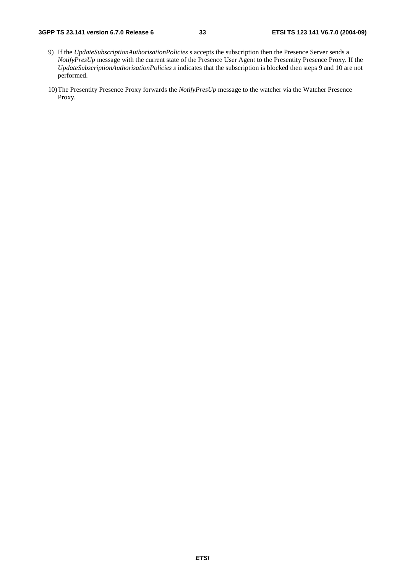#### **3GPP TS 23.141 version 6.7.0 Release 6 33 ETSI TS 123 141 V6.7.0 (2004-09)**

- 9) If the *UpdateSubscriptionAuthorisationPolicies* s accepts the subscription then the Presence Server sends a *NotifyPresUp* message with the current state of the Presence User Agent to the Presentity Presence Proxy. If the *UpdateSubscriptionAuthorisationPolicies s* indicates that the subscription is blocked then steps 9 and 10 are not performed.
- 10) The Presentity Presence Proxy forwards the *NotifyPresUp* message to the watcher via the Watcher Presence Proxy.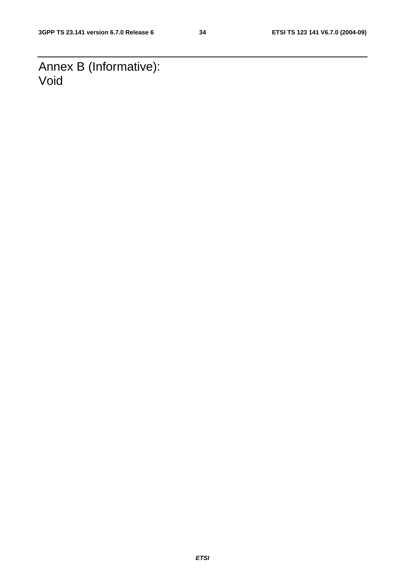Annex B (Informative): Void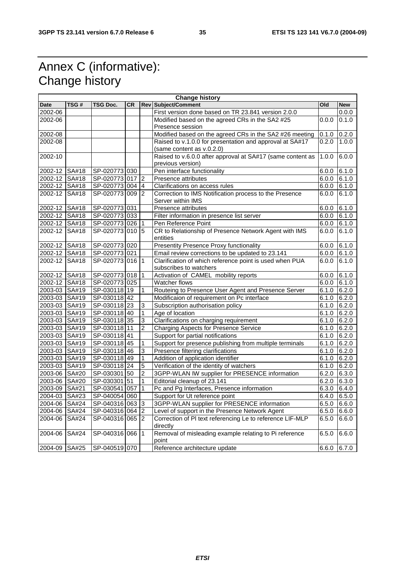## Annex C (informative): Change history

| <b>Change history</b> |              |                 |           |                |                                                            |               |            |
|-----------------------|--------------|-----------------|-----------|----------------|------------------------------------------------------------|---------------|------------|
| <b>Date</b>           | TSG#         | TSG Doc.        | <b>CR</b> |                | <b>Rev Subject/Comment</b>                                 | Old           | <b>New</b> |
| 2002-06               |              |                 |           |                | First version done based on TR 23.841 version 2.0.0        |               | 0.0.0      |
| 2002-06               |              |                 |           |                | Modified based on the agreed CRs in the SA2 #25            | 0.0.0         | 0.1.0      |
|                       |              |                 |           |                | Presence session                                           |               |            |
| 2002-08               |              |                 |           |                | Modified based on the agreed CRs in the SA2 #26 meeting    | 0.1.0         | 0.2.0      |
| 2002-08               |              |                 |           |                | Raised to v.1.0.0 for presentation and approval at SA#17   | 0.2.0         | 1.0.0      |
|                       |              |                 |           |                | (same content as v.0.2.0)                                  |               |            |
| 2002-10               |              |                 |           |                | Raised to v.6.0.0 after approval at SA#17 (same content as | 1.0.0         | 6.0.0      |
|                       |              |                 |           |                | previous version)                                          |               |            |
| 2002-12 SA#18         |              | SP-020773 030   |           |                | Pen interface functionality                                | 6.0.0         | 6.1.0      |
| 2002-12 SA#18         |              | SP-020773 017   |           | $\overline{2}$ | Presence attributes                                        | 6.0.0         | 6.1.0      |
| 2002-12 SA#18         |              | SP-020773 004 4 |           |                | Clarifications on access rules                             | 6.0.0         | 6.1.0      |
| 2002-12               | SA#18        | SP-020773 009 2 |           |                | Correction to IMS Notification process to the Presence     | 6.0.0         | 6.1.0      |
|                       |              |                 |           |                | Server within IMS                                          |               |            |
| 2002-12 SA#18         |              | SP-020773 031   |           |                | Presence attributes                                        | 6.0.0         | 6.1.0      |
| 2002-12 SA#18         |              | SP-020773 033   |           |                | Filter information in presence list server                 | 6.0.0         | 6.1.0      |
| 2002-12 SA#18         |              | SP-020773 026 1 |           |                | Pen Reference Point                                        | 6.0.0         | 6.1.0      |
| 2002-12               | SA#18        | SP-020773101015 |           |                | CR to Relationship of Presence Network Agent with IMS      | 6.0.0         | 6.1.0      |
|                       |              |                 |           |                | entities                                                   |               |            |
| 2002-12 SA#18         |              | SP-020773 020   |           |                | <b>Presentity Presence Proxy functionality</b>             | 6.0.0         | 6.1.0      |
| 2002-12 SA#18         |              | SP-020773 021   |           |                | Email review corrections to be updated to 23.141           | 6.0.0         | 6.1.0      |
| 2002-12               | SA#18        | SP-020773 016 1 |           |                | Clarification of which reference point is used when PUA    | 6.0.0         | 6.1.0      |
|                       |              |                 |           |                | subscribes to watchers                                     |               |            |
| 2002-12 SA#18         |              | SP-020773 018   |           | $\vert$ 1      | Activation of CAMEL mobility reports                       | 6.0.0         | 6.1.0      |
| 2002-12 SA#18         |              | SP-020773 025   |           |                | <b>Watcher flows</b>                                       | 6.0.0         | 6.1.0      |
| 2003-03 SA#19         |              | SP-030118 19    |           | 1              | Routeing to Presence User Agent and Presence Server        | 6.1.0         | 6.2.0      |
| 2003-03 SA#19         |              | SP-030118 42    |           |                | Modificaion of requirement on Pc interface                 | 6.1.0         | 6.2.0      |
| 2003-03 SA#19         |              | SP-030118 23    |           | 3              | Subscription authorisation policy                          | 6.1.0         | 6.2.0      |
| 2003-03 SA#19         |              | SP-030118 40    |           | $\overline{1}$ | Age of location                                            | 6.1.0         | 6.2.0      |
| 2003-03 SA#19         |              | SP-030118 35    |           | $\overline{3}$ | Clarifications on charging requirement                     | 6.1.0         | 6.2.0      |
| 2003-03 SA#19         |              | SP-030118 11    |           | $\overline{2}$ | Charging Aspects for Presence Service                      | 6.1.0         | 6.2.0      |
| 2003-03 SA#19         |              | SP-030118 41    |           |                | Support for partial notifications                          | 6.1.0         | 6.2.0      |
| 2003-03 SA#19         |              | SP-030118 45    |           | 1              | Support for presence publishing from multiple terminals    | 6.1.0         | 6.2.0      |
| 2003-03 SA#19         |              | SP-030118 46    |           | 3              | Presence filtering clarifications                          | 6.1.0         | 6.2.0      |
| 2003-03 SA#19         |              | SP-030118 49    |           | $\mathbf{1}$   | Addition of application identifier                         | 6.1.0         | 6.2.0      |
| 2003-03 SA#19         |              | SP-030118 24    |           | $\overline{5}$ | Verification of the identity of watchers                   | 6.1.0         | 6.2.0      |
| 2003-06 SA#20         |              | SP-030301 50    |           | $\overline{2}$ | 3GPP-WLAN IW supplier for PRESENCE information             | 6.2.0         | 6.3.0      |
| 2003-06 SA#20         |              | SP-030301 51    |           | $\mathbf{1}$   | Editorial cleanup of 23.141                                | 6.2.0         | 6.3.0      |
| 2003-09 SA#21         |              | SP-030541 057   |           | $\mathbf{1}$   | Pc and Pg Interfaces, Presence information                 | 6.3.0         | 6.4.0      |
| 2004-03 SA#23         |              | SP-040054 060   |           |                | Support for Ut reference point                             | 6.4.0         | 6.5.0      |
| 2004-06 SA#24         |              | SP-040316 063   |           | <sub>3</sub>   | 3GPP-WLAN supplier for PRESENCE information                | 6.5.0         | 6.6.0      |
| 2004-06 SA#24         |              | SP-040316 064   |           | $\overline{2}$ | Level of support in the Presence Network Agent             | 6.5.0         | 6.6.0      |
| 2004-06               | <b>SA#24</b> | SP-040316 065   |           | $\overline{2}$ | Correction of PI text referencing Le to reference LIF-MLP  | 6.5.0         | 6.6.0      |
|                       |              |                 |           |                | directly                                                   |               |            |
| 2004-06               | <b>SA#24</b> | SP-040316 066 1 |           |                | Removal of misleading example relating to Pi reference     | 6.5.0         | 6.6.0      |
|                       |              |                 |           |                | point                                                      |               |            |
| 2004-09 SA#25         |              | SP-040519 070   |           |                | Reference architecture update                              | $6.6.0$ 6.7.0 |            |